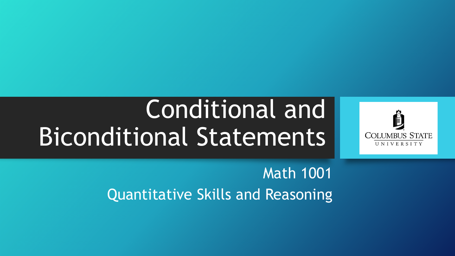# Conditional and Biconditional Statements



Math 1001 Quantitative Skills and Reasoning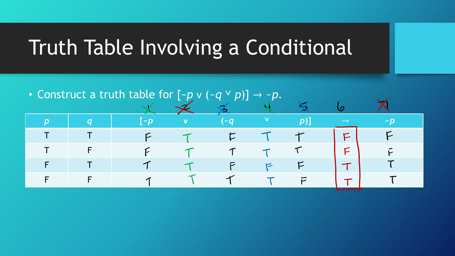## Truth Table Involving a Conditional

• Construct a truth table for [~*p* v (~*q* ˅ *p*)] → ~*p*.

|                |                |                                                        |                |                |    | $\overline{\phantom{a}}$ |  |
|----------------|----------------|--------------------------------------------------------|----------------|----------------|----|--------------------------|--|
| $\overline{D}$ | $\overline{a}$ | $\left[\begin{array}{ccc} -p & & v \end{array}\right]$ | $\sim$ (~a)    |                |    |                          |  |
|                |                |                                                        | $\mathsf{L}$   |                | سد |                          |  |
|                |                |                                                        | $\tau$         |                |    |                          |  |
|                |                | q                                                      | $\overline{P}$ | $\overline{r}$ |    |                          |  |
|                |                | $\sqrt{1}$                                             | $\tau$         | $\tau$         |    |                          |  |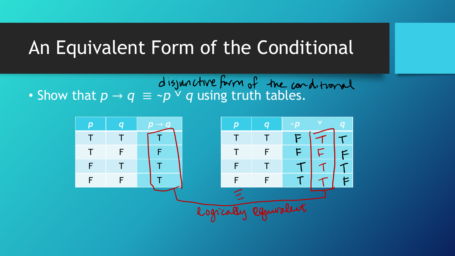#### An Equivalent Form of the Conditional

 $d$  is junctive form of the conditional of Show that  $p \rightarrow q \equiv \sim p \lor q$  using truth tables.

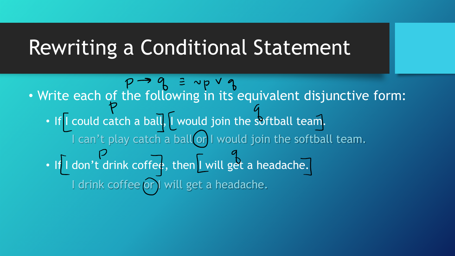### Rewriting a Conditional Statement

 $P \rightarrow Q \equiv \sim_P \vee q$ <br>• Write each of the following in its equivalent disjunctive form: • If I could catch a ball, I would join the softball team. • If I don't drink coffee, then I will get a headache. I can't play catch a ball or I would join the softball team. I drink coffee or) will get a headache.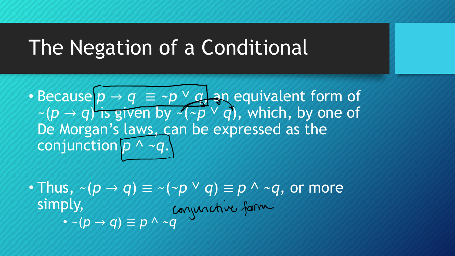### The Negation of a Conditional

• Because *p* → *q* ≡ *~p* ˅ *q*, an equivalent form of  $\sim$  ( $p \rightarrow q$ ) is given by  $\sim$  ( $\sim$  $p \vee q$ ), which, by one of De Morgan's laws, can be expressed as the conjunction *p* ˄ *~q*.

• Thus,  $\sim (p \rightarrow q) \equiv \sim (\sim p \vee q) \equiv p \wedge \sim q$ , or more simply, • ~(*p* → *q*) ≡ *p* ˄ *~q*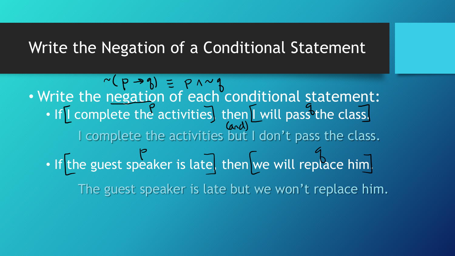#### Write the Negation of a Conditional Statement

• Write the negation of each conditional statement: • If I complete the activities, then I will pass the class. • If the guest speaker is late, then we will replace him. I complete the activities but I don't pass the class. The guest speaker is late but we won't replace him.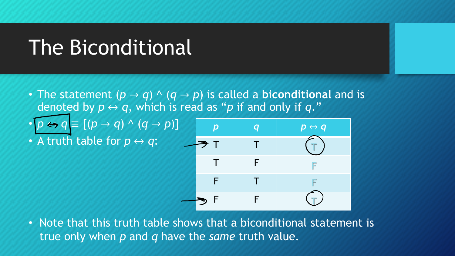### The Biconditional

- The statement  $(p \rightarrow q) \land (q \rightarrow p)$  is called a **biconditional** and is denoted by  $p \leftrightarrow q$ , which is read as "p if and only if q."
- $[p \leftrightarrow q \equiv [(p \rightarrow q) \land (q \rightarrow p)]$
- A truth table for  $p \leftrightarrow q$ :



• Note that this truth table shows that a biconditional statement is true only when *p* and *q* have the *same* truth value.